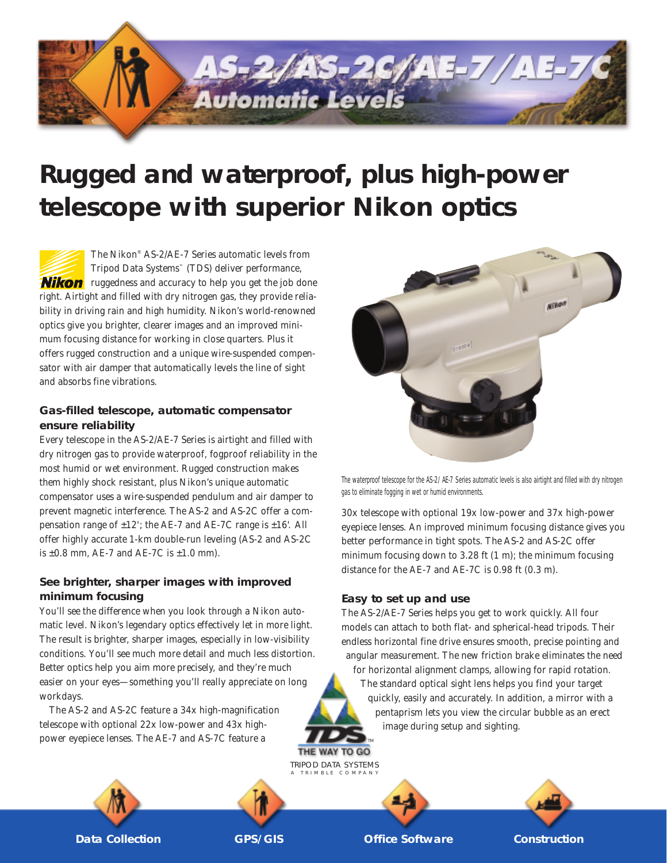

# **Rugged and waterproof, plus high-power telescope with superior Nikon optics**

The Nikon® AS-2/AE-7 Series automatic levels from Tripod Data Systems™ (TDS) deliver performance, **Nikon** ruggedness and accuracy to help you get the job done right. Airtight and filled with dry nitrogen gas, they provide reliability in driving rain and high humidity. Nikon's world-renowned optics give you brighter, clearer images and an improved minimum focusing distance for working in close quarters. Plus it offers rugged construction and a unique wire-suspended compensator with air damper that automatically levels the line of sight and absorbs fine vibrations.

## **Gas-filled telescope, automatic compensator ensure reliability**

Every telescope in the AS-2/AE-7 Series is airtight and filled with dry nitrogen gas to provide waterproof, fogproof reliability in the most humid or wet environment. Rugged construction makes them highly shock resistant, plus Nikon's unique automatic compensator uses a wire-suspended pendulum and air damper to prevent magnetic interference. The AS-2 and AS-2C offer a compensation range of  $\pm 12$ '; the AE-7 and AE-7C range is  $\pm 16$ '. All offer highly accurate 1-km double-run leveling (AS-2 and AS-2C is  $\pm 0.8$  mm, AE-7 and AE-7C is  $\pm 1.0$  mm).

# **See brighter, sharper images with improved minimum focusing**

You'll see the difference when you look through a Nikon automatic level. Nikon's legendary optics effectively let in more light. The result is brighter, sharper images, especially in low-visibility conditions. You'll see much more detail and much less distortion. Better optics help you aim more precisely, and they're much easier on your eyes—something you'll really appreciate on long workdays.

The AS-2 and AS-2C feature a 34x high-magnification telescope with optional 22x low-power and 43x higheasier on your eyes—something you'll really appreciate on long<br>workdays. The AS-2 and AS-2C feature a 34x high-magnification<br>telescope with optional 22x low-power and 43x high-<br>power eyepiece lenses. The AE-7 and AS-7C fea



The waterproof telescope for the AS-2/AE-7 Series automatic levels is also airtight and filled with dry nitrogen gas to eliminate fogging in wet or humid environments.

30x telescope with optional 19x low-power and 37x high-power eyepiece lenses. An improved minimum focusing distance gives you better performance in tight spots. The AS-2 and AS-2C offer minimum focusing down to 3.28 ft (1 m); the minimum focusing distance for the AE-7 and AE-7C is 0.98 ft (0.3 m).

#### **Easy to set up and use**

The AS-2/AE-7 Series helps you get to work quickly. All four models can attach to both flat- and spherical-head tripods. Their endless horizontal fine drive ensures smooth, precise pointing and angular measurement. The new friction brake eliminates the need for horizontal alignment clamps, allowing for rapid rotation. The standard optical sight lens helps you find your target quickly, easily and accurately. In addition, a mirror with a pentaprism lets you view the circular bubble as an erect image during setup and sighting.



**Data Collection CPS/GIS CONSTREET CONSTREET CONSTREET CONSTREENT CONSTREENT CONSTREENT CONSTREENT CONSTREENT CONSTREENT CONSTREENT CONSTREENT CONSTREENT CONSTREENT CONSTREENT CONSTREENT CONSTREENT CONSTREENT CONSTREENT CO** 

TRIPOD DATA SYSTEMS A TRIMBLE COMPANY